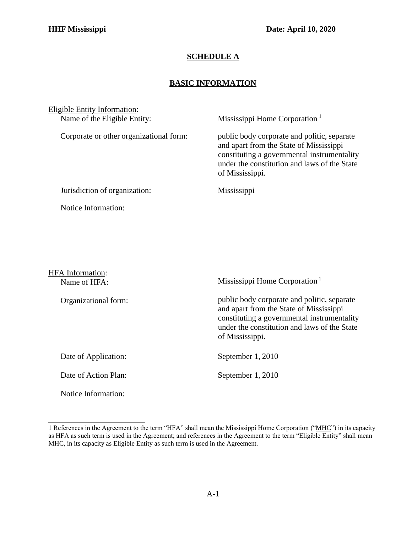## **SCHEDULE A**

## **BASIC INFORMATION**

| <b>Eligible Entity Information:</b><br>Name of the Eligible Entity: | Mississippi Home Corporation <sup>1</sup>                                                                                                                                                                |
|---------------------------------------------------------------------|----------------------------------------------------------------------------------------------------------------------------------------------------------------------------------------------------------|
| Corporate or other organizational form:                             | public body corporate and politic, separate<br>and apart from the State of Mississippi<br>constituting a governmental instrumentality<br>under the constitution and laws of the State<br>of Mississippi. |
| Jurisdiction of organization:                                       | Mississippi                                                                                                                                                                                              |
| Notice Information:                                                 |                                                                                                                                                                                                          |
|                                                                     |                                                                                                                                                                                                          |
|                                                                     |                                                                                                                                                                                                          |
|                                                                     |                                                                                                                                                                                                          |
| <b>HFA</b> Information:<br>Name of HFA:                             | Mississippi Home Corporation <sup>1</sup>                                                                                                                                                                |
|                                                                     |                                                                                                                                                                                                          |
| Organizational form:                                                | public body corporate and politic, separate<br>and apart from the State of Mississippi<br>constituting a governmental instrumentality<br>under the constitution and laws of the State                    |

Date of Application: September 1, 2010

Date of Action Plan: September 1, 2010

Notice Information:

of Mississippi.

<span id="page-0-0"></span><sup>1</sup> References in the Agreement to the term "HFA" shall mean the Mississippi Home Corporation ("MHC") in its capacity as HFA as such term is used in the Agreement; and references in the Agreement to the term "Eligible Entity" shall mean MHC, in its capacity as Eligible Entity as such term is used in the Agreement.